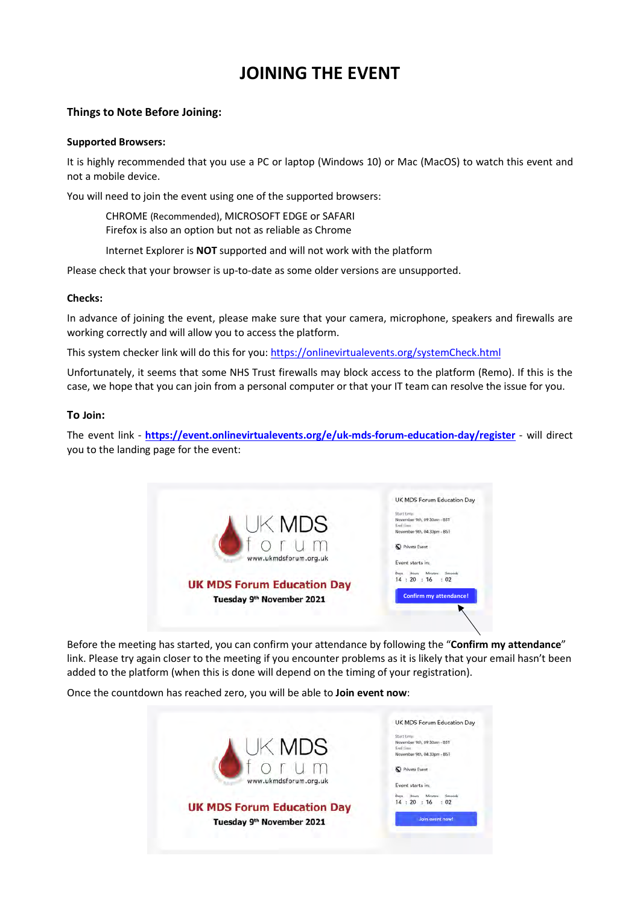# **JOINING THE EVENT**

# **Things to Note Before Joining:**

## **Supported Browsers:**

It is highly recommended that you use a PC or laptop (Windows 10) or Mac (MacOS) to watch this event and not a mobile device.

You will need to join the event using one of the supported browsers:

CHROME (Recommended), MICROSOFT EDGE or SAFARI Firefox is also an option but not as reliable as Chrome

Internet Explorer is **NOT** supported and will not work with the platform

Please check that your browser is up-to-date as some older versions are unsupported.

## **Checks:**

In advance of joining the event, please make sure that your camera, microphone, speakers and firewalls are working correctly and will allow you to access the platform.

This system checker link will do this for you[: https://onlinevirtualevents.org/systemCheck.html](https://onlinevirtualevents.org/systemCheck.html)

Unfortunately, it seems that some NHS Trust firewalls may block access to the platform (Remo). If this is the case, we hope that you can join from a personal computer or that your IT team can resolve the issue for you.

## **To Join:**

The event link - **<https://event.onlinevirtualevents.org/e/uk-mds-forum-education-day/register>** - will direct you to the landing page for the event:



Before the meeting has started, you can confirm your attendance by following the "**Confirm my attendance**" link. Please try again closer to the meeting if you encounter problems as it is likely that your email hasn't been added to the platform (when this is done will depend on the timing of your registration).

Once the countdown has reached zero, you will be able to **Join event now**: